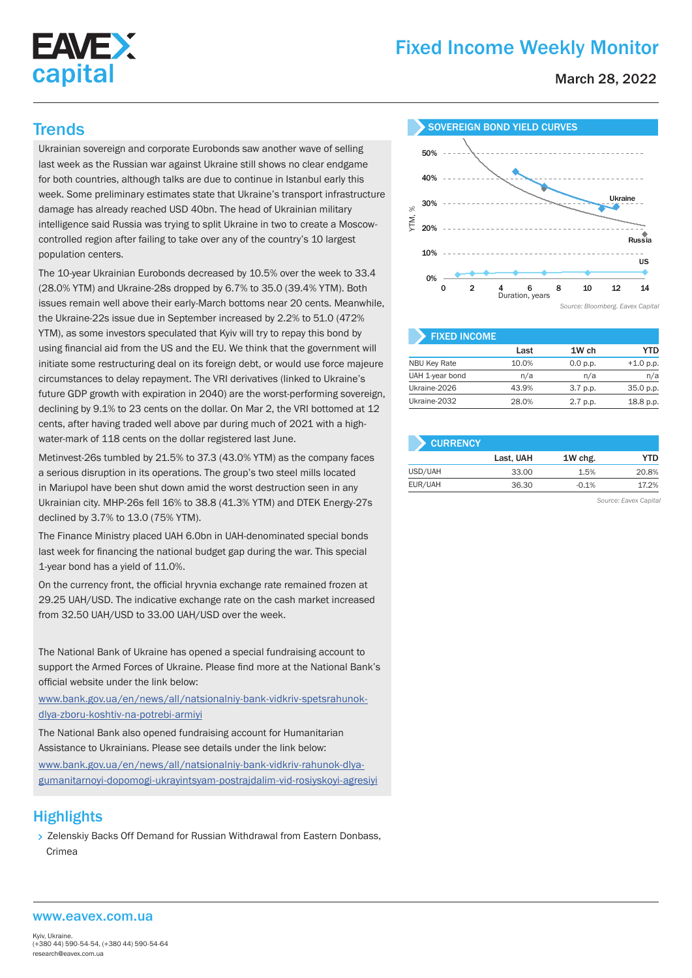

# Fixed Income Weekly Monitor

March 28, 2022

Ukrainian sovereign and corporate Eurobonds saw another wave of selling last week as the Russian war against Ukraine still shows no clear endgame for both countries, although talks are due to continue in Istanbul early this week. Some preliminary estimates state that Ukraine's transport infrastructure damage has already reached USD 40bn. The head of Ukrainian military intelligence said Russia was trying to split Ukraine in two to create a Moscowcontrolled region after failing to take over any of the country's 10 largest population centers.

The 10-year Ukrainian Eurobonds decreased by 10.5% over the week to 33.4 (28.0% YTM) and Ukraine-28s dropped by 6.7% to 35.0 (39.4% YTM). Both issues remain well above their early-March bottoms near 20 cents. Meanwhile, the Ukraine-22s issue due in September increased by 2.2% to 51.0 (472% YTM), as some investors speculated that Kyiv will try to repay this bond by using financial aid from the US and the EU. We think that the government will initiate some restructuring deal on its foreign debt, or would use force majeure circumstances to delay repayment. The VRI derivatives (linked to Ukraine's future GDP growth with expiration in 2040) are the worst-performing sovereign, declining by 9.1% to 23 cents on the dollar. On Mar 2, the VRI bottomed at 12 cents, after having traded well above par during much of 2021 with a highwater-mark of 118 cents on the dollar registered last June.

Metinvest-26s tumbled by 21.5% to 37.3 (43.0% YTM) as the company faces a serious disruption in its operations. The group's two steel mills located in Mariupol have been shut down amid the worst destruction seen in any Ukrainian city. MHP-26s fell 16% to 38.8 (41.3% YTM) and DTEK Energy-27s declined by 3.7% to 13.0 (75% YTM).

The Finance Ministry placed UAH 6.0bn in UAH-denominated special bonds last week for financing the national budget gap during the war. This special 1-year bond has a yield of 11.0%.

On the currency front, the official hryvnia exchange rate remained frozen at 29.25 UAH/USD. The indicative exchange rate on the cash market increased from 32.50 UAH/USD to 33.00 UAH/USD over the week.

The National Bank of Ukraine has opened a special fundraising account to support the Armed Forces of Ukraine. Please find more at the National Bank's official website under the link below:

www.bank.gov.ua/en/news/all/natsionalniy-bank-vidkriv-spetsrahunokdlya-zboru-koshtiv-na-potrebi-armiyi

The National Bank also opened fundraising account for Humanitarian Assistance to Ukrainians. Please see details under the link below:

www.bank.gov.ua/en/news/all/natsionalniy-bank-vidkriv-rahunok-dlyagumanitarnoyi-dopomogi-ukrayintsyam-postrajdalim-vid-rosiyskoyi-agresiyi

# **Highlights**

> Zelenskiy Backs Off Demand for Russian Withdrawal from Eastern Donbass, Crimea



| <b>FIXED INCOME</b> |       |            |             |
|---------------------|-------|------------|-------------|
|                     | Last  | 1W ch      | YTD         |
| <b>NBU Key Rate</b> | 10.0% | 0.0 p.p.   | $+1.0$ p.p. |
| UAH 1-year bond     | n/a   | n/a        | n/a         |
| Ukraine-2026        | 43.9% | 3.7 p.p.   | 35.0 p.p.   |
| Ukraine-2032        | 28.0% | $2.7$ p.p. | 18.8 p.p.   |

| <b>CURRENCY</b> |           |         |       |  |  |  |  |  |
|-----------------|-----------|---------|-------|--|--|--|--|--|
|                 | Last, UAH | 1W chg. | YTD   |  |  |  |  |  |
| USD/UAH         | 33.00     | 1.5%    | 20.8% |  |  |  |  |  |
| EUR/UAH         | 36.30     | $-0.1%$ | 17.2% |  |  |  |  |  |

*Source: Eavex Capital*

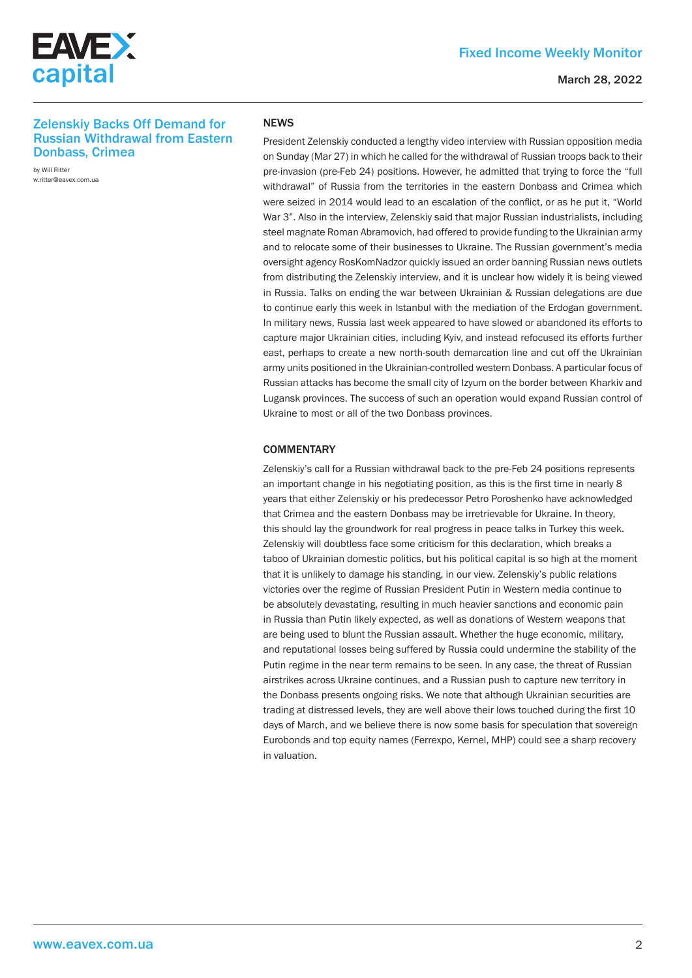

#### March 28, 2022

## Zelenskiy Backs Off Demand for Russian Withdrawal from Eastern Donbass, Crimea

by Will Ritter w.ritter@eavex.com.ua

#### **NFWS**

President Zelenskiy conducted a lengthy video interview with Russian opposition media on Sunday (Mar 27) in which he called for the withdrawal of Russian troops back to their pre-invasion (pre-Feb 24) positions. However, he admitted that trying to force the "full withdrawal" of Russia from the territories in the eastern Donbass and Crimea which were seized in 2014 would lead to an escalation of the conflict, or as he put it, "World War 3". Also in the interview, Zelenskiy said that major Russian industrialists, including steel magnate Roman Abramovich, had offered to provide funding to the Ukrainian army and to relocate some of their businesses to Ukraine. The Russian government's media oversight agency RosKomNadzor quickly issued an order banning Russian news outlets from distributing the Zelenskiy interview, and it is unclear how widely it is being viewed in Russia. Talks on ending the war between Ukrainian & Russian delegations are due to continue early this week in Istanbul with the mediation of the Erdogan government. In military news, Russia last week appeared to have slowed or abandoned its efforts to capture major Ukrainian cities, including Kyiv, and instead refocused its efforts further east, perhaps to create a new north-south demarcation line and cut off the Ukrainian army units positioned in the Ukrainian-controlled western Donbass. A particular focus of Russian attacks has become the small city of Izyum on the border between Kharkiv and Lugansk provinces. The success of such an operation would expand Russian control of Ukraine to most or all of the two Donbass provinces.

### **COMMENTARY**

Zelenskiy's call for a Russian withdrawal back to the pre-Feb 24 positions represents an important change in his negotiating position, as this is the first time in nearly 8 years that either Zelenskiy or his predecessor Petro Poroshenko have acknowledged that Crimea and the eastern Donbass may be irretrievable for Ukraine. In theory, this should lay the groundwork for real progress in peace talks in Turkey this week. Zelenskiy will doubtless face some criticism for this declaration, which breaks a taboo of Ukrainian domestic politics, but his political capital is so high at the moment that it is unlikely to damage his standing, in our view. Zelenskiy's public relations victories over the regime of Russian President Putin in Western media continue to be absolutely devastating, resulting in much heavier sanctions and economic pain in Russia than Putin likely expected, as well as donations of Western weapons that are being used to blunt the Russian assault. Whether the huge economic, military, and reputational losses being suffered by Russia could undermine the stability of the Putin regime in the near term remains to be seen. In any case, the threat of Russian airstrikes across Ukraine continues, and a Russian push to capture new territory in the Donbass presents ongoing risks. We note that although Ukrainian securities are trading at distressed levels, they are well above their lows touched during the first 10 days of March, and we believe there is now some basis for speculation that sovereign Eurobonds and top equity names (Ferrexpo, Kernel, MHP) could see a sharp recovery in valuation.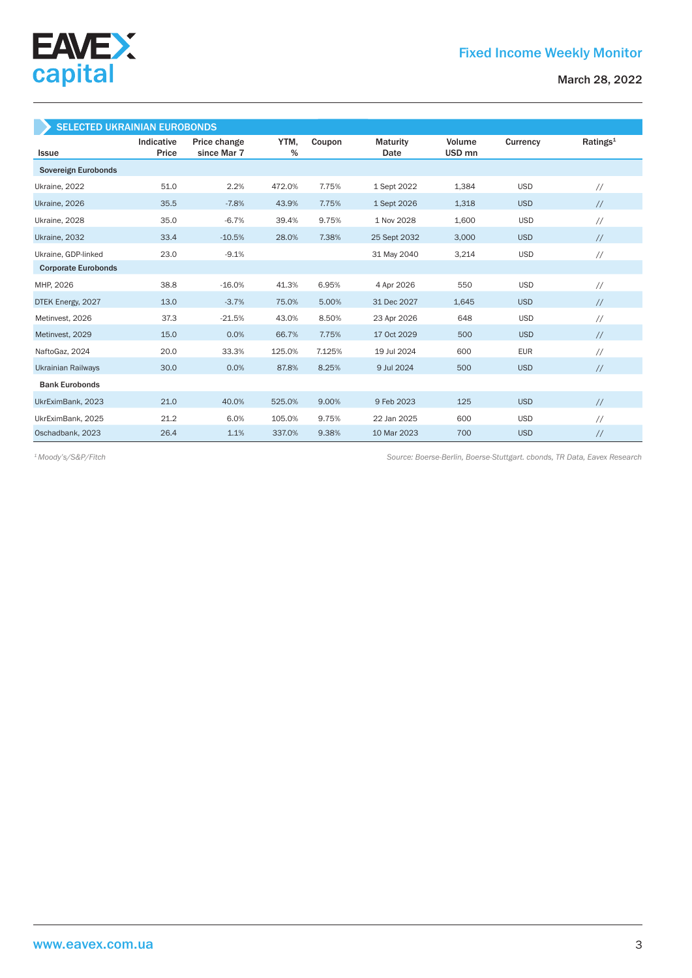

| <b>SELECTED UKRAINIAN EUROBONDS</b> |                     |                             |              |        |                  |                             |            |                      |  |  |
|-------------------------------------|---------------------|-----------------------------|--------------|--------|------------------|-----------------------------|------------|----------------------|--|--|
| <b>Issue</b>                        | Indicative<br>Price | Price change<br>since Mar 7 | YTM,<br>$\%$ | Coupon | Maturity<br>Date | Volume<br>USD <sub>mn</sub> | Currency   | Ratings <sup>1</sup> |  |  |
| Sovereign Eurobonds                 |                     |                             |              |        |                  |                             |            |                      |  |  |
| Ukraine, 2022                       | 51.0                | 2.2%                        | 472.0%       | 7.75%  | 1 Sept 2022      | 1,384                       | <b>USD</b> | $\frac{1}{2}$        |  |  |
| Ukraine, 2026                       | 35.5                | $-7.8%$                     | 43.9%        | 7.75%  | 1 Sept 2026      | 1,318                       | <b>USD</b> | $\frac{1}{2}$        |  |  |
| Ukraine, 2028                       | 35.0                | $-6.7%$                     | 39.4%        | 9.75%  | 1 Nov 2028       | 1,600                       | <b>USD</b> | $\frac{1}{2}$        |  |  |
| Ukraine, 2032                       | 33.4                | $-10.5%$                    | 28.0%        | 7.38%  | 25 Sept 2032     | 3,000                       | <b>USD</b> | $\frac{1}{2}$        |  |  |
| Ukraine, GDP-linked                 | 23.0                | $-9.1%$                     |              |        | 31 May 2040      | 3,214                       | <b>USD</b> | $\frac{1}{2}$        |  |  |
| <b>Corporate Eurobonds</b>          |                     |                             |              |        |                  |                             |            |                      |  |  |
| MHP, 2026                           | 38.8                | $-16.0%$                    | 41.3%        | 6.95%  | 4 Apr 2026       | 550                         | <b>USD</b> | $\frac{1}{2}$        |  |  |
| DTEK Energy, 2027                   | 13.0                | $-3.7%$                     | 75.0%        | 5.00%  | 31 Dec 2027      | 1,645                       | <b>USD</b> | $\frac{1}{2}$        |  |  |
| Metinvest, 2026                     | 37.3                | $-21.5%$                    | 43.0%        | 8.50%  | 23 Apr 2026      | 648                         | <b>USD</b> | $\frac{1}{2}$        |  |  |
| Metinvest, 2029                     | 15.0                | 0.0%                        | 66.7%        | 7.75%  | 17 Oct 2029      | 500                         | <b>USD</b> | $\frac{1}{2}$        |  |  |
| NaftoGaz, 2024                      | 20.0                | 33.3%                       | 125.0%       | 7.125% | 19 Jul 2024      | 600                         | <b>EUR</b> | $\frac{1}{2}$        |  |  |
| <b>Ukrainian Railways</b>           | 30.0                | 0.0%                        | 87.8%        | 8.25%  | 9 Jul 2024       | 500                         | <b>USD</b> | $\frac{1}{2}$        |  |  |
| <b>Bank Eurobonds</b>               |                     |                             |              |        |                  |                             |            |                      |  |  |
| UkrEximBank, 2023                   | 21.0                | 40.0%                       | 525.0%       | 9.00%  | 9 Feb 2023       | 125                         | <b>USD</b> | $\frac{1}{2}$        |  |  |
| UkrEximBank, 2025                   | 21.2                | 6.0%                        | 105.0%       | 9.75%  | 22 Jan 2025      | 600                         | <b>USD</b> | $\frac{1}{2}$        |  |  |
| Oschadbank, 2023                    | 26.4                | 1.1%                        | 337.0%       | 9.38%  | 10 Mar 2023      | 700                         | <b>USD</b> | $\frac{1}{2}$        |  |  |

*Source: Boerse-Berlin, Boerse-Stuttgart. cbonds, TR Data, Eavex Research 1 Moody's/S&P/Fitch*